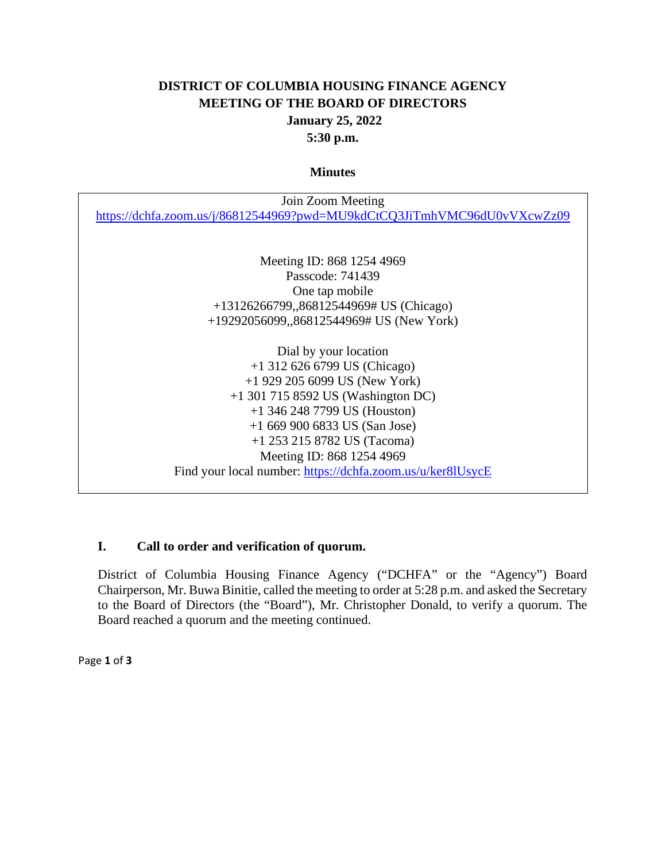# **DISTRICT OF COLUMBIA HOUSING FINANCE AGENCY MEETING OF THE BOARD OF DIRECTORS January 25, 2022 5:30 p.m.**

#### **Minutes**

| Join Zoom Meeting                                                        |
|--------------------------------------------------------------------------|
| https://dchfa.zoom.us/j/86812544969?pwd=MU9kdCtCQ3JiTmhVMC96dU0vVXcwZz09 |
|                                                                          |
|                                                                          |
| Meeting ID: 868 1254 4969                                                |
| Passcode: 741439                                                         |
| One tap mobile                                                           |
| +13126266799,,86812544969# US (Chicago)                                  |
| +19292056099,,86812544969# US (New York)                                 |
|                                                                          |
| Dial by your location                                                    |
| $+1$ 312 626 6799 US (Chicago)                                           |
| $+1$ 929 205 6099 US (New York)                                          |
| $+1$ 301 715 8592 US (Washington DC)                                     |
| $+1$ 346 248 7799 US (Houston)                                           |
| $+16699006833$ US (San Jose)                                             |
| +1 253 215 8782 US (Tacoma)                                              |
| Meeting ID: 868 1254 4969                                                |
| Find your local number: https://dchfa.zoom.us/u/ker8lUsycE               |

#### **I. Call to order and verification of quorum.**

District of Columbia Housing Finance Agency ("DCHFA" or the "Agency") Board Chairperson, Mr. Buwa Binitie, called the meeting to order at 5:28 p.m. and asked the Secretary to the Board of Directors (the "Board"), Mr. Christopher Donald, to verify a quorum. The Board reached a quorum and the meeting continued.

Page **1** of **3**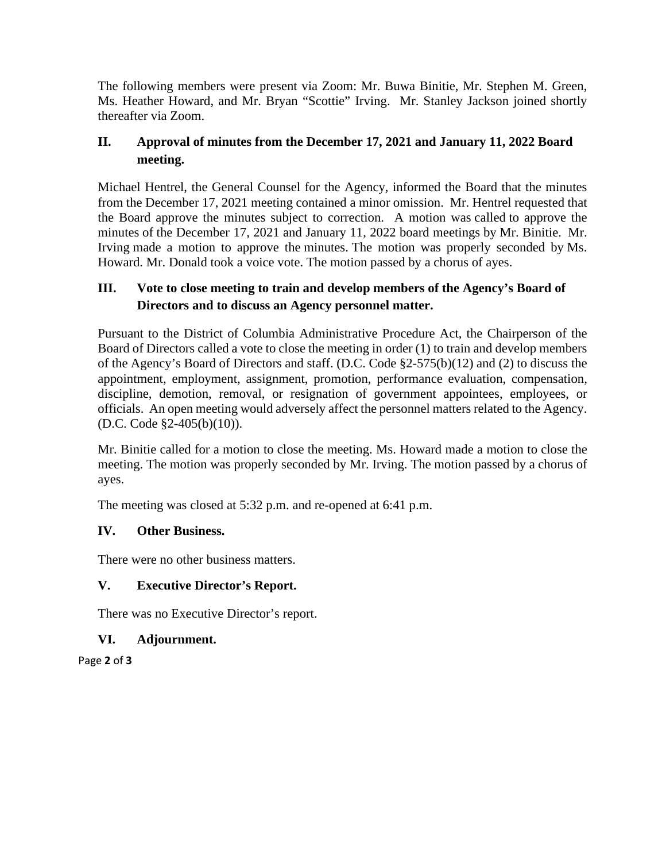The following members were present via Zoom: Mr. Buwa Binitie, Mr. Stephen M. Green, Ms. Heather Howard, and Mr. Bryan "Scottie" Irving. Mr. Stanley Jackson joined shortly thereafter via Zoom.

# **II. Approval of minutes from the December 17, 2021 and January 11, 2022 Board meeting.**

Michael Hentrel, the General Counsel for the Agency, informed the Board that the minutes from the December 17, 2021 meeting contained a minor omission. Mr. Hentrel requested that the Board approve the minutes subject to correction. A motion was called to approve the minutes of the December 17, 2021 and January 11, 2022 board meetings by Mr. Binitie. Mr. Irving made a motion to approve the minutes. The motion was properly seconded by Ms. Howard. Mr. Donald took a voice vote. The motion passed by a chorus of ayes.

# **III. Vote to close meeting to train and develop members of the Agency's Board of Directors and to discuss an Agency personnel matter.**

Pursuant to the District of Columbia Administrative Procedure Act, the Chairperson of the Board of Directors called a vote to close the meeting in order (1) to train and develop members of the Agency's Board of Directors and staff. (D.C. Code §2-575(b)(12) and (2) to discuss the appointment, employment, assignment, promotion, performance evaluation, compensation, discipline, demotion, removal, or resignation of government appointees, employees, or officials. An open meeting would adversely affect the personnel matters related to the Agency. (D.C. Code §2-405(b)(10)).

Mr. Binitie called for a motion to close the meeting. Ms. Howard made a motion to close the meeting. The motion was properly seconded by Mr. Irving. The motion passed by a chorus of ayes.

The meeting was closed at 5:32 p.m. and re-opened at 6:41 p.m.

#### **IV. Other Business.**

There were no other business matters.

# **V. Executive Director's Report.**

There was no Executive Director's report.

# **VI. Adjournment.**

Page **2** of **3**